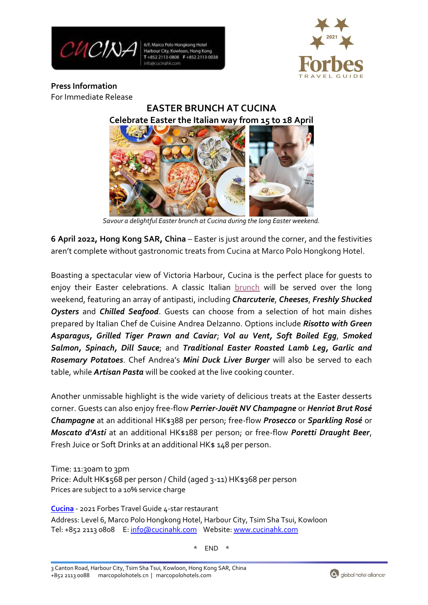

6/F, Marco Polo Hongkong Hotel Harbour City, Kowloon, Hong Kong T+852 2113-0808 F+852 2113-0038



**Press Information** For Immediate Release

> **EASTER BRUNCH AT CUCINA Celebrate Easter the Italian way from 15 to 18 April**

ļ *Savour a delightful Easter brunch at Cucina during the long Easter weekend.*

**6 April 2022, Hong Kong SAR, China** – Easter is just around the corner, and the festivities aren't complete without gastronomic treats from Cucina at Marco Polo Hongkong Hotel.

Boasting a spectacular view of Victoria Harbour, Cucina is the perfect place for guests to enjoy their Easter celebrations. A classic Italian [brunch](https://www.cucinahk.com/public/dine/files/Cucina_EasterBrunch_Menu_April2022.pdf) will be served over the long weekend, featuring an array of antipasti, including *Charcuterie*, *Cheeses*, *Freshly Shucked Oysters* and *Chilled Seafood*. Guests can choose from a selection of hot main dishes prepared by Italian Chef de Cuisine Andrea Delzanno. Options include *Risotto with Green Asparagus, Grilled Tiger Prawn and Caviar*; *Vol au Vent, Soft Boiled Egg*, *Smoked Salmon, Spinach, Dill Sauce*; and *Traditional Easter Roasted Lamb Leg, Garlic and Rosemary Potatoes*. Chef Andrea's *Mini Duck Liver Burger* will also be served to each table, while *Artisan Pasta* will be cooked at the live cooking counter.

Another unmissable highlight is the wide variety of delicious treats at the Easter desserts corner. Guests can also enjoy free-flow *Perrier-Jouët NV Champagne* or *Henriot Brut Rosé Champagne* at an additional HK\$388 per person; free-flow *Prosecco* or *Sparkling Rosé* or *Moscato d'Asti* at an additional HK\$188 per person; or free-flow *Poretti Draught Beer*, Fresh Juice or Soft Drinks at an additional HK\$ 148 per person.

Time: 11:30am to 3pm Price: Adult HK\$568 per person / Child (aged 3-11) HK\$368 per person Prices are subject to a 10% service charge

**[Cucina](http://www.cucinahk.com/)** - 2021 Forbes Travel Guide 4-star restaurant Address: Level 6, Marco Polo Hongkong Hotel, Harbour City, Tsim Sha Tsui, Kowloon Tel: +852 2113 0808 E: [info@cucinahk.com](mailto:info@cucinahk.com) Website[: www.cucinahk.com](http://www.cucinahk.com/)

 $END$ 

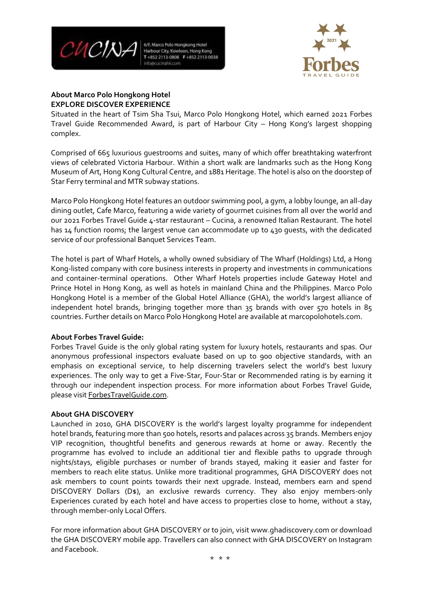

6/F, Marco Polo Hongkong Hotel Harbour City, Kowloon, Hong Kong T+852 2113-0808 F+852 2113-0038



## **About Marco Polo Hongkong Hotel EXPLORE DISCOVER EXPERIENCE**

Situated in the heart of Tsim Sha Tsui, Marco Polo Hongkong Hotel, which earned 2021 Forbes Travel Guide Recommended Award, is part of Harbour City – Hong Kong's largest shopping complex.

Comprised of 665 luxurious guestrooms and suites, many of which offer breathtaking waterfront views of celebrated Victoria Harbour. Within a short walk are landmarks such as the Hong Kong Museum of Art, Hong Kong Cultural Centre, and 1881 Heritage. The hotel is also on the doorstep of Star Ferry terminal and MTR subway stations.

Marco Polo Hongkong Hotel features an outdoor swimming pool, a gym, a lobby lounge, an all-day dining outlet, Cafe Marco, featuring a wide variety of gourmet cuisines from all over the world and our 2021 Forbes Travel Guide 4-star restaurant – Cucina, a renowned Italian Restaurant. The hotel has 14 function rooms; the largest venue can accommodate up to 430 guests, with the dedicated service of our professional Banquet Services Team.

The hotel is part of Wharf Hotels, a wholly owned subsidiary of The Wharf (Holdings) Ltd, a Hong Kong-listed company with core business interests in property and investments in communications and container-terminal operations. Other Wharf Hotels properties include Gateway Hotel and Prince Hotel in Hong Kong, as well as hotels in mainland China and the Philippines. Marco Polo Hongkong Hotel is a member of the Global Hotel Alliance (GHA), the world's largest alliance of independent hotel brands, bringing together more than 35 brands with over 570 hotels in 85 countries. Further details on Marco Polo Hongkong Hotel are available at marcopolohotels.com.

## **About Forbes Travel Guide:**

Forbes Travel Guide is the only global rating system for luxury hotels, restaurants and spas. Our anonymous professional inspectors evaluate based on up to 900 objective standards, with an emphasis on exceptional service, to help discerning travelers select the world's best luxury experiences. The only way to get a Five-Star, Four-Star or Recommended rating is by earning it through our independent inspection process. For more information about Forbes Travel Guide, please visit [ForbesTravelGuide.com.](http://www.forbestravelguide.com/)

## **About GHA DISCOVERY**

Launched in 2010, GHA DISCOVERY is the world's largest loyalty programme for independent hotel brands, featuring more than 500 hotels, resorts and palaces across 35 brands. Members enjoy VIP recognition, thoughtful benefits and generous rewards at home or away. Recently the programme has evolved to include an additional tier and flexible paths to upgrade through nights/stays, eligible purchases or number of brands stayed, making it easier and faster for members to reach elite status. Unlike more traditional programmes, GHA DISCOVERY does not ask members to count points towards their next upgrade. Instead, members earn and spend DISCOVERY Dollars (D\$), an exclusive rewards currency. They also enjoy members-only Experiences curated by each hotel and have access to properties close to home, without a stay, through member-only Local Offers.

For more information about GHA DISCOVERY or to join, visit www.ghadiscovery.com or download the GHA DISCOVERY mobile app. Travellers can also connect with GHA DISCOVERY on Instagram and Facebook.

\* \* \*